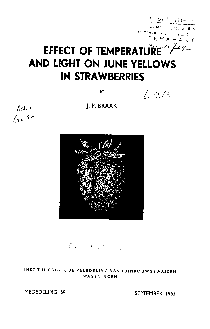# EFFECT OF TEMPERATURE  $\frac{\sqrt{224}}{2}$ **AND LIGHT ON JUNE YELLOWS IN STRAWBERRIES**

BY  $\frac{1}{215}$ 

Landbouwproclustation<br>"I - stuut" (I - stuut

**ö L ^ A R A A** 

BIBLI THE K

*i-a.*<br>634.75

J. P. BRAAK



**/ ! ; '\ ^** 

INSTITUUT VOOR DE VEREDELING VAN TUINBOUWGEWASSEN WAGENINGEN

MEDEDELING 69 SEPTEMBER 1955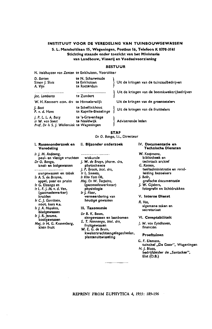#### **INSTITUUT VOOR DE VEREDELING VAN TUINBOUWGEWASSEN**

**S. L. Mansholtlaan 15, Wageningen, Postbus 16, Telefoon K 8370-3141 Stichting staande onder toezicht van het Ministerie van Landbouw, Visserij en Voedselvoorziening** 

#### **BESTUUR**

N. Veldhuyzen van Zanten te Enkhuizen, Voorzitter

| D. Barten<br>Simon J. Sluis<br>A. Viin                                               | te N. Scharwoude<br>te Enkhuizen<br>te Rotterdam | Uit de kringen van de tuinzaadbedrijven     |
|--------------------------------------------------------------------------------------|--------------------------------------------------|---------------------------------------------|
| jac. Lombarts                                                                        | te Zundert                                       | Uit de kringen van de boomkwekerijbedrijven |
| W. H. Kemmers econ. drs te Honselersdijk                                             |                                                  | Uit de kringen van de groentetelers         |
| J. Boot<br>P. v. d. Have                                                             | te Schellinkhout<br>te Kapelle-Biezelinge        | Uit de kringen van de fruittelers           |
| J. P. L. L. A. Burg<br>ir W. van Soest<br>Prof. Dr Ir S. J. Wellensiek te Wageningen | te 's-Gravenhage<br>te Naaldwijk                 | Adviserende leden                           |

**STAF**  Dr O. Banga, l.i., Directeur

# I. **Rassenonderzoek en Veredeling Ir J. M. Andeweg,**

peul- en vlezige vruchten **Dr O. Banga,**  knol- en bolgewassen ............................... siergewassen en tabak **Ir A. S. de Bruyne,**  appel, peer en pruim **Ir G. Elzenga en IrL F.J.M. v.d. Ven,**  (gastmedewerker) kruiden **Ir C. J. Gerritsen,**  noot, kers e.a. **Ir J. A. Huyskes,**  bladgewassen **Ir J. R. Jensma,**  koolgewassen **Mej. Ir H. G. Kronenberg,**  klein fruit

................................ wiskunde **J. W. de Bruyn, pharm, drs,**  phytochemie **J. P. Braak, biol. drs, Ir L Smeets, Ir Kho Yam Oh, Mej. Dr W. Terpstra,**  (gastmedewerkster) physiologie **Ir J. Floor,**  vermeerdering van houtige gewassen

**Bijzonder onderzoek** 

#### III. **Taxonomie**

**Dr ß.** *K. Boom,*  siergewassen en laanbomen **E. T. Nannenga, biol. drs,**  fruitgewassen W. E. G. de Bruin, kwekersrechtaangelegenheden, plantenuitwisseling

#### IV. **Documentatie en Technische Diensten**

- **W. Koopmans,**  bibliotheek en technisch archief
- **G. Komen,**
- teeltadministratie en rondleiding bezoekers
- **J. Baër,**
- grafische documentatie **J. W. Gijsbers,**

# fotografie en lichtdrukken

#### V. **Interne Dienst**

**R. Vos,**  algemene zaken en secretariaat

#### VI. **Comptabiliteit**

**J. W. van Eyndhoven,**  financiën

#### **Proeftuinen**

**G. F. Elemans,**  tuinchef "De Goor", Wageningen **H. J. Blaas,** 

bedrijfsleider de "Santacker", Eist (O.B.)

**REPRINT FROM EUPHYTICA 4, 1955: 189-196**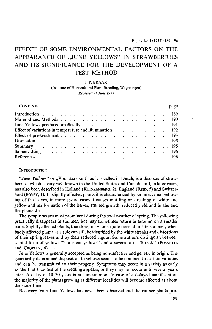# EFFECT OF SOME ENVIRONMENTAL FACTORS ON THE APPEARANCE OF ..JUNE YELLOWS" IN STRAWBERRIES AND ITS SIGNIFICANCE FOR THE DEVELOPMENT OF A TEST METHOD

# J. P. BRAAK (Institute of Horticultural Plant Breeding, Wageningen) *Received 21 June 1955*

| <b>CONTENTS</b>                                                                                                       | page |
|-----------------------------------------------------------------------------------------------------------------------|------|
|                                                                                                                       |      |
|                                                                                                                       |      |
|                                                                                                                       |      |
| Effect of variations in temperature and illumination $\ldots$ ,     192                                               |      |
| Effect of pre-treatment $\ldots$ $\ldots$ $\ldots$ $\ldots$ $\ldots$ $\ldots$ $\ldots$ $\ldots$ $\ldots$ $\ldots$ 193 |      |
|                                                                                                                       |      |
|                                                                                                                       |      |
|                                                                                                                       |      |
|                                                                                                                       |      |

# **INTRODUCTION**

"June Yellows" or "Voorjaarsbont" as it is called in Dutch, is a disorder of strawberries, which is very well known in the United States and Canada and, in later years, has also been described in Holland (KLINKENBERG, 2), England (REID, 5) and Switzerland (BOVEY, 1). In slightly affected plants it is characterized by an interveinal yellowing of the leaves, in more severe cases it causes mottling or streaking of white and yellow and malformation of the leaves, stunted growth, reduced yield and in the end the plants die.

The symptoms are most prominent during the cool weather of spring. The yellowing practically disappears in summer, but may sometimes return in autumn on a smaller scale. Slightly affected plants, therefore, may look quite normal in late summer, when badly affected plants as a rule can still be identified by the white streaks and distortions of their spring leaves and by their reduced vigour. Some authors distinguish between a mild form of yellows "Transient yellows" and a severe form "Streak" (POSNETTE and CROPLEY, 4).

June Yellows is generally accepted as being non-infective and genetic in origin. The genetically determined disposition to yellows seems to be confined to certain varieties and can be transmitted to their progeny. Symptoms may occur in a variety as early as the first true leaf of the seedling appears, or they may not occur until several years later. A delay of 10-30 years is not uncommon. In case of a delayed manifestation the majority of the plants growing at different localities will become affected at about the same time.

Recovery from June Yellows has never been observed and the runner plants pro-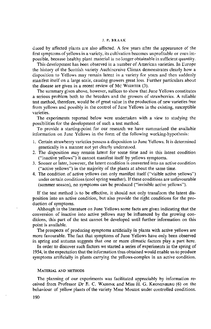#### J. P. BRAAK

duced by affected plants are also affected. A few years after the appearance of the first symptoms of yellows in a variety, its cultivation becomes unprofitable or even impossible, because healthy plant material is no longer obtainable in sufficient quantity.

This development has been observed in a number of American varieties. In Europe the history of the Scottish variety Auchincruive Climax demonstrates clearly how a disposition to Yellows may remain latent in a variety for years and then suddenly manifest itself on a large scale, causing growers great loss. Further particulars about the disease are given in a recent review of Mc WHIRTER (3).

The summary given above, however, suffices to show that June Yellows constitutes a serious problem both to the breeders and the growers of strawberries. A reliable test method, therefore, would be of great value in the production of new varieties free from yellows and possibly in the control of June Yellows in the existing, susceptible varieties.

The experiments reported below were undertaken with a view to studying the possibilities for the development of such a test method.

To provide a starting-point for our research we have summarized the available information on June Yellows in the form of the following working-hypothesis :

- 1. Certain strawberry varieties possess a disposition to June Yellows. It is determined genetically in a manner not yet clearly understood.
- 2. The disposition may remain latent for some time and in this latent condition ("inactive yellows") it cannot manifest itself by yellows symptoms.
- 3. Sooner or later, however, the latent condition is converted into an active condition ("active yellows") in the majority of the plants at about the same time.
- 4. The condition of active yellows can only manifest itself ("visible active yellows") under certain conditions (cool spring weather). If these conditions are unfavourable (summer season), no symptoms can be produced ("invisible active yellows").

If the test method is to be effective, it should not only transform the latent disposition into an active condition, but also provide the right conditions for the production of symptoms.

Although in the literature on June Yellows some facts are given indicating that the conversion of inactive into active yellows may be influenced by the growing conditions, this part of the test cannot be developed until further information on this point is available.

The prospects of producing symptoms artificially in plants with active yellows are more favourable. The fact that symptoms of June Yellows have only been observed in spring and autumn suggests that one or more climatic factors play a part here.

In order to discover such factors we started a series of experiments in the spring of 1954, in the expectation that the information thus obtained would enable us to produce symptoms artificially in plants carrying the yellows-complex in an active condition.

#### MATERIAL AND METHODS

The planning of our experiments was facilitated appreciably by information received from Professor Dr E. C. WASSINK and Miss H. G. KRONENBERG (6) on the behaviour of yellow plants of the variety Mme Moutot under controlled conditions.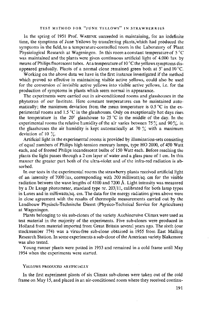# TEST METHOD FOR "JUNE YELLOWS" IN STRAWBERRIES

In the spring of 1951 Prof. WASSINK succeeded in maintaining, for an indefinite time, the symptoms of June Yellows by transferring plants, which had produced the symptoms in the field, to a temperature-controlled room in the Laboratory of Plant Physiological Research at Wageningen. In this room a constant temperature of  $5^{\circ}C$ was maintained and the plants were given continuous artificial light of 4.000 lux by means of Philips fluorescent tubes. At a temperature of 10 °C the yellows symptoms disappeared gradually. Plants of a normal clone remained green both at  $5^\circ$  and  $10^\circ$ C.

Working on the above data we have in the first instance investigated if the method which proved so effective in maintaining visible active yellows, could also be used for the conversion of invisible active yellows into visible active yellows, i.e. for the production of symptoms in plants which seem normal in appearance.

The experiments were carried out in air-conditioned rooms and glasshouses in the phytotron of our Institute. Here constant temperatures can be maintained automatically; the maximum deviation from the mean temperature is  $0.5^{\circ}$ C in the experimental rooms and 1.5  $\degree$ C in the glasshouses. Only on exceptionally hot days rises the temperature in the 20 $^{\circ}$  glasshouse to 25  $^{\circ}$ C in the middle of the day. In the experimental rooms the relative humidity of the air varies between 75% and 90%, in the glasshouses the air humidity is kept automatically at 70  $\frac{9}{6}$  with a maximum deviation of 10 %.

Artificial light in the experimental rooms is provided by illumination-sets consisting of equal numbers of Philips high-tension mercury lamps, type HO 2000, of 450 Watt each, and of frosted Philips incandescent bulbs of 150 Watt each. Before reaching the plants the light passes through a 2 cm layer of water and a glass pane of 1 cm. In this manner the greater part both of the ultra-violet and of the infra-red radiation is absorbed.

In our tests in the experimental rooms the strawberry plants received artificial light of an intensity of 7000 lux, corresponding with 200 milliwatt/sq. cm for the visible radiation between the wave lengths of 4100 and 7200 Å. Light intensity was measured by a Dr Lange photometer, standard type nr. 203/11, calibrated for both lamp types in Luxes and in milliwatts/sq. cm. The data for the energy radiation given above were in close agreement with the results of thermopile measurements carried out by the Landbouw Physisch-Technische Dienst (Physico-Technical Service for Agriculture) at Wageningen.

Plants belonging to six sub-clones of the variety Auchincruive Climax were used as test material in the majority of the experiments. Five sub-clones were produced in Holland from material imported from Great Britain several years ago. The sixth (our stocknumber 774) was a virus-free sub-clone obtained in 1955 from East Malling Research Station. In some experiments a sub-clone of the American variety Blakemore was also tested.

Young runner plants were potted in 1953 and remained in a cold frame until May 1954 when the experiments were started.

#### YELLOWS PRODUCED ARTIFICIALLY

In the first experiment plants of six Climax sub-clones were taken out of the cold frame on May 15, and placed in an air-conditioned room where they received continu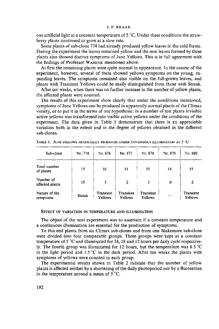ous artificial light at a constant temperature of 5 °C. Under these conditions the strawberry plants continued to grow at a slow rate.

Some plants of sub-clone 774 had already produced yellow leaves in the cold frame. During the experiment the leaves remained yellow and the new leaves formed by these plants also showed distinct symptoms of June Yellows. This is in full agreement with the findings of Professor WASSINK mentioned above.

At first thé remaining plants were quite normal in appearance. In the course of the experiment, however, several of them showed yellows symptoms on the young, expanding leaves. The symptoms remained also visible on the full-grown leaves, and plants with Transient Yellows could be easily distinguished from those with Streak.

After ten weeks, when there was no further increase in the number of yellow plants, the affected plants were counted.

The results of this experiment show clearly that under the conditions mentioned, symptoms of June Yellows can be produced in apparently normal plants of the Climax variety, or to put it in the terms of our hypothesis : in a number of test plants invisible active yellows was transformed into visible active yellows under the conditions of the experiment. The data given in Table 1 demonstrate that there is an appreciable variation both in the extent and in the degree of yellows obtained in the different sub-clones.

| Sub-clone                    | Nr. 774 | Nr. 876              | Nr. 877              | Nr. 878              | Nr. 879 | Nr. 880              |
|------------------------------|---------|----------------------|----------------------|----------------------|---------|----------------------|
| Total number<br>of plants    | 15      | 16                   | 14                   | 15                   | 14      | 15                   |
| Number of<br>affected plants | 15      | 5                    | 2                    |                      | 0       | 2                    |
| Nature of the<br>symptoms    | Streak  | Transient<br>Yellows | Transient<br>Yellows | Transient<br>Yellows |         | Transient<br>Yellows |

|  | Table 1. June yellows artificially produced under continuous illumination at 5 $^{\circ}\textrm{C}$ |  |  |  |  |  |  |  |
|--|-----------------------------------------------------------------------------------------------------|--|--|--|--|--|--|--|
|--|-----------------------------------------------------------------------------------------------------|--|--|--|--|--|--|--|

#### EFFECT OF VARIATION IN TEMPERATURE AND ILLUMINATION

The object of the next experiment was to ascertain if a constant temperature and a continuous illumination are essential for the production of symptoms.

To this end plants from six Climax sub-clones and from one Blakemore sub-clone were divided into four comparable groups. Three groups were kept at a constant temperature of 5 °C and illuminated for 24, 18 and 12 hours per daily cycle respectively. The fourth group was illuminated for 12 hours, but the temperature was 8.5 °C in the light period and  $1.5 \degree C$  in the dark period. After ten weeks the plants with symptoms of yellows were counted in each group.

The experimental results shown in Table 2 indicate that the number of yellow plants is affected neither by a shortening of the daily photoperiod nor by a fluctuation in the temperature around a mean of 5 °C.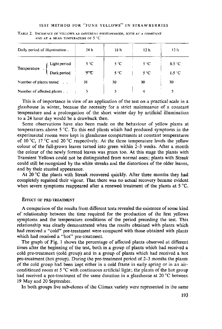# TEST METHOD FOR "JUNE YELLOWS" IN STRAWBERRIES

| Daily period of illumination. |              | 24 h  | 18 h          | 12 h          | 12 h   |
|-------------------------------|--------------|-------|---------------|---------------|--------|
| Temperature                   | Light period | 5 °C. | $5^{\circ}$ C | $5^{\circ}$ C | 8.5 °C |
|                               | Dark period  | 2aC.  | 5 °C          | $5^{\circ}$ C | 1.5 °C |
| Number of plants tested       |              | 31    | 30            | 30            | 30     |
| Number of affected plants     |              |       |               |               |        |

TABLE 2. INCIDENCE OF YELLOWS AT DIFFERENT PHOTOPERIODS, BOTH AT A CONSTANT AND AT A MEAN TEMPERATURE OF 5 °C

This is of importance in view of an application of the test on a practical scale in a glasshouse in winter, because the necessity for a strict maintenance of a constant temperature and a prolongation of the short winter day by artificial illumination to a 24 hour day would be a drawback then.

Some observations have also been made on the behaviour of yellow plants at temperatures above 5 °C. To this end plants which had produced symptoms in the experimental rooms were kept in glasshouse compartments at constant temperatures of 10 °C, 17 °C and 20 °C respectively. At the three temperature levels the yellow colour of the full-grown leaves turned into green within 2-3 weeks. After a month the colour of the newly formed leaves was green too. At this stage the plants with Transient Yellows could not be distinguished from normal ones; plants with Streak could still be recognized by the white streaks and the distortions of the older leaves, and by their stunted appearance.

At 20 °C the plants with Streak recovered quickly. After three months they had completely regained their vigour. That there was no actual recovery became evident when severe symptoms reappeared after a renewed treatment of the plants at 5 °C.

#### EFFECT OF PRE-TREATMENT

A comparison of the results from different tests revealed the existence of some kind of relationship between the time required for the production of the first yellows symptoms and the temperature conditions of the period preceding the test. This relationship was clearly demonstrated when the results obtained with plants which had received a "cold" pre-treatment were compared with those obtained with plants which had received a "hot" pre-treatment.

The graph of Fig. 1 shows the percentage of affected plants observed at different times after the beginning of the test, both in a group of plants which had received a cold pre-treatment (cold group) and in a group of plants which had received a hot pre-treatment (hot group). During the pre-treatment period of 2-3 months the plants of the cold group had been kept either in a cold frame in early spring or in an airconditioned room at 5 °C with continuous artificial light; the plants of the hot group had received a pre-treatment of the same duration in a glasshouse at 20 °C between 19 May and 20 September.

In both groups five sub-clones of the Climax variety were represented in the same

193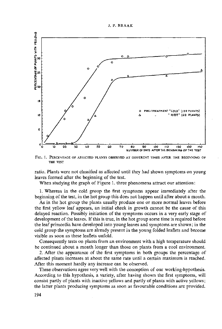



FIG. 1. PERCENTAGE OF AFFECTED PLANTS OBSERVED AT DIFFERENT TIMES AFTER THE BEGINNING OF THE TEST

ratio. Plants were not classified as affected until they had shown symptoms on young leaves formed after the beginning of the test.

When studying the graph of Figure 1. three phenomena attract our attention:

1. Whereas in the cold group the first symptoms appear immediately after the beginning of the test, in the hot group this does not happen until after about a month.

As in the hot group the plants usually produce one or more normal leaves before the first yellow leaf appears, an initial check in growth cannot be the cause of this delayed reaction. Possibly initiation of the symptoms occurs in a very early stage of development of the leaves. If this is true, in the hot group some time is required before the leaf primordia have developed into young leaves and symptoms are shown ; in the cold group the symptoms are already present in the young folded leaflets and become visible as soon as these leaflets unfold.

Consequently tests on plants from an environment with a high temperature should be continued about a month longer than those on plants from a cool environment.

2. After the appearance of the first symptoms in both groups the percentage of affected plants increases at about the same rate until a certain maximum is reached. After this moment hardly any increase can be observed.

These observations agree very well with the conception of our working-hypothesis. According to this hypothesis, a variety, after having shown the first symptoms, will consist partly of plants with inactive yellows and partly of plants with active yellows ; the latter plants producing symptoms as soon as favourable conditions are provided.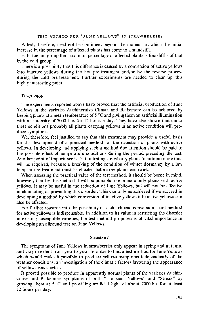# TEST METHOD FOR "JUNE YELLOWS" IN STRAWBERRIES

A test, therefore, need not be continued beyond the moment at which the initial increase in the percentage of affected plants has come to a standstill.

3. In the hot group the maximum percentage of affected plants is four-fifths ofthat in the cold group.

There is a possibility that this difference is caused by a conversion of active yellows into inactive yellows during the hot pre-treatment and/or by the reverse process during the cold pre-treatment. Further experiments are needed to clear up this highly interesting point.

## **DISCUSSION**

The experiments reported above have proved that the artificial production of June Yellows in the varieties Auchincruive Climax and Blakemore can be achieved by keeping plants at a mean temperature of  $5^{\circ}$ C and giving them an artificial illumination with an intensity of 7000 Lux for 12 hours a day. They have also shown that under these conditions probably all plants carrying yellows in an active condition will produce symptoms.

We, therefore, feel justified to say that this treatment may provide a useful basis for the development of a practical method for the detection of plants with active yellows. In developing and applying such a method due attention should be paid to the possible effect of temperature conditions during the period preceding the test. Another point of importance is that in testing strawberry plants in autumn more time will be required, because a breaking of the condition of winter dormancy by a low temperature treatment must be effected before the plants can react.

When assessing the practical value of the test method, it should be borne in mind, however, that by this method it will be possible to eliminate only plants with active yellows. It may be useful in the reduction of June Yellows, but will not be effective in eliminating or preventing this disorder. This can only be achieved if we succeed in developing a method by which conversion of inactive yellows into active yellows can also be effected.

For further research into the possibility of such artificial conversion a test method for active yellows is indispensable. In addition to its value in restricting the disorder in existing susceptible varieties, the test method proposed is of vital importance in developing an allround test on June Yellows.

## **SUMMARY**

The symptoms of June Yellows in strawberries only appear in spring and autumn, and vary in extent from year to year. In order to find a test method for June Yellows which would make it possible to produce yellows symptoms independently of the weather conditions, an investigation of the climatic factors favouring the appearance of yellows was started.

It proved possible to produce in apparently normal plants of the varieties Auchincruive and Blakemore symptoms of both "Transient Yellows" and "Streak" by growing them at 5 °C and providing artificial light of about 7000 lux for at least 12 hours per day.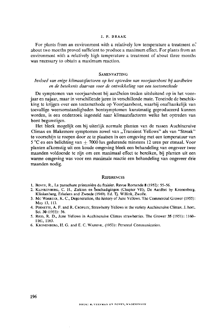## J. P. BRAAK

For plants from an environment with a relatively low temperature a treatment of about two months proved sufficient to produce a maximum effect. For plants from an environment with a relatively high temperature a treatment of about three months was necessary to obtain a maximum reaction.

# **SAMENVATTING**

# *Invloed van enige klimaatsfactoren op het optreden van voorjaarsbont bij aardbeien en de betekenis daarvan voor de ontwikkeling van een toetsmethode*

De symptomen van voorjaarsbont bij aardbeien treden uitsluitend op in het voorjaar en najaar, maar in verschillende jaren in verschillende mate. Teneinde de beschikking te krijgen over een toetsmethode op Voorjaarsbont, waarbij onafhankelijk van toevallige weersomstandigheden bontsymptomen kunstmatig geproduceerd kunnen worden, is een onderzoek ingesteld naar klimaatsfactoren welke het optreden van bont begunstigen.

Het bleek mogelijk om bij uiterlijk normale planten van de rassen Auchincruive Climax en Blakemore symptomen zowel van "Transient Yellows" als van "Streak" te voorschijn te roepen door ze te plaatsen in een omgeving met een temperatuur van 5 °C en een belichting van *±* 7000 lux gedurende minstens 12 uren per etmaal. Voor planten afkomstig uit een koude omgeving bleek een behandeling van ongeveer twee maanden voldoende te zijn om een maximaal effect te bereiken, bij planten uit een warme omgeving was voor een maximale reactie een behandeling van ongeveer drie maanden nodig.

#### **REFERENCES**

- 1. BOVEY, R., La panachure printaniére du fraisier. Revue Romande 8 (1952): 55-56.
- 2. KLINKENBERG, C. H., Ziekten en beschadigingen (Chapter VII), De Aardbei by Kronenberg, Klinkenberg, Erkelens and Zweede (1949). Ed. Tj. Willink, Zwolle.
- 3. Mc WHIRTER, K. C., Degeneration, the history of June Yellows. The Commercial Grower (1955): May 13, 113.
- 4. POSNETTE, A. F. and R. CROPLEY, Strawberry Yellows in the variety Auchincruive Climax. J. hort. Sci. 30 (1955): 56.
- 5. REID, R. D., June Yellows in Auchincruive Climax strawberries. The Grower 35 (1951): 1160— 1161, 1163.
- 6. KRONENBERG, H. G. and E. C. WASSINK, (1953): Personal Communication.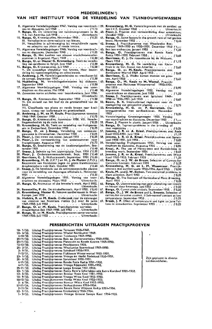**MEDEDELINGEN<sup>1</sup> )** 

# VAN HET INSTITUUT VOOR DE VEREDELING VAN TUINBOUWGEWASSEN

- 
- 
- 8, Algemene Veredelingsdagen 1947. Verslag van voordrach- | 39. ten en discussies. Juli 1948 f 1,15 9. **Banga, O.** De veredeling van tuïnbouwgewassen in de , 40. V.S. van Amerika. Juli 1948 Uitverkocht' 10. **Banga, O.** Krotenstudies. November 1948 . . . . f 0,25 41. III. Vernalisatie en devernalisatie van bieten. j IV. Verschillen in schiet-neiging bij verschillende rassen ' 42. en selecties van platte of ronde kroten.
- 44.
- 
- 46.
- 11. Algemene Veredelingsdagen 1948. Verslag van voordrach- i 43. ten en discussies. December 1948 f 1,05 44. 12. **Banga, O.** Het kweken van nieuwe vruchtboomonder-stammen in Engeland. Maart 1949 f 0,20 j 45. 13. **Banga, O.** en **Hester G. Kronenberg.** Teelt en verede-ling van aardbeien in België, juni 1949 f 0,20 46- 14. **Banga, O.** Krotenstudies. Juli 1949 f 0,50 I V. De inwendige vleeskleur van kroten. Haar beoor- 47\* deling bij rassenvergelijking en selectiewerk. ! 47.
- 15. **Andeweg, J. M .** Veredelingsdoeleinden en -resultaten bij 48. de tomaat. September 1949 **f 1949 f 1949 f 1949** f 0,20 de tomaat. September 1949 f 1949 f 1940 f 1940 f 1940 f 1<br>16. **Hubbeling, N.** Veredelingsdoeleinden bij slabonen.
- 
- September 1949<br>17. Algemene Veredelingsdagen 1949. Verslag van voor-<br>drachten en discussies. Mei 1950<br>18. Alexander en discussies. Mei 1950 f 1,40 50.
- 18. Zeventien korte artikelen voor boomkwekers. Juni 1950. <sup>|</sup><br>19. **Banga, O.** Krotenstudies. September 1950 . . . . f 1,50 <sup>|</sup>
- VI. De invloed van het loof op de groeisnelheid van de \ 52. knol,
- VII. Classificatie van platte en ronde kroten naar knol-<br>index, niveau van loofprestatie en groeisnelheid.<br>20. **Andeweg, J. M. en M. Keuls.** Practijkproeven tomaten<br>1948–1949. October 1950 . . . . . . . . . . . . . . . . .
- 
- 
- 
- 
- 
- 
- 
- 
- 21. **Banga, O.** Krotenstudies. November 1950. VIN. Verede-lingsmethodiek bij de rode biet f 0,25 55. 22. **Kronenberg, H . G.** Teelt en veredeling van fruitgewas- ! 56. sen in Zwitserland. December 1950 f 0,25 23. **Banga, O. en J. Sneep.** Veredeling van tuinbouw- 57. gewassen in Denemarken. December 1950 ... . f 0,25 24. **Floor, J.** Het enten van noten. Januari 1951 . . . f 0,35 58. 25. **Floor, J.** De vermeerdering van onderstammen voor fruitgewassen. Augustus 1951 ' f 0,75 59. 26. **Banga, O .** Bescherming van de kwekerseigendom. Sep-tember 1951 ƒ0,40 : 60. 27. **Sneep,** J. Selectie op het juiste tijdstip. Sept. 1951 f 0,35 28. **Floor, J.** Onderstammenonderzoek. Sept. 1951 f0,40,61 . 29. **Gerritsen, C. J.** Walnotenteelt. September 1951 f 0,35 30. **Kronenberg, H . G. (I.V.T.)** en **H . J. de Fluiter** (I.P.O.). 62. Resistentie van frambozen tegen de grote frambozenluis Resistentie van frambozen tegen de grote frambozenluis<br>Amphorophora rubi Kalt. October 1951 f 0,40
- 31. **Sneep, J.** De betekenis van de andromonoecische planten
- 
- 
- 
- 
- 34. Sonnaville, P. de. De mirabellenteelt. April 1952. f 0,40<br>35. Kronenberg, Hester G. Nieuwe aardbeirassen in West-<br>Europa, Juni 1952. . . . . . . . . . . . . . . Uitverkocht<br>36. Hofstra, R. en M. Keuls. Onderzoek naar d
- 
- 
- **Kronenberg, H . G.** Veredelingswerk met de aardbei op het I.V.T. October 1952 Uitverkocht **Floor, J.** Proeven met vermeerdering door entstekken, October 1952 Uitverkocht **Banga, O .** Some factors in the growth rate of red garden beets. November 1952 f 0,45 **Sneep,** J. Practijkproeven met Westlandse Boe-renkool 1949-1950 en 1950-1951. December 1952 f 1,—
- 
- Een bos enthoutjes. Januari 1953<br>Banga, O. Practijkproeven met Ronde Rode<br>Radijs 1951–1952. Februari 1953 . . . . . . . . . . f 0<br>**Gerritsen, C. J.** De rassenkeuze bij de Walnoot.
- 
- Maart 1953<br>
Kronenberg, H. G. De veredeling van Klein-<br>
Fruit in de Ver. Staten van Amerika<br>
Fruit in de Ver. Staten van Amerika<br>
Banga, O. en M. Keuls. Practijkproeven met<br>
Berlikumer Wortel 1949. April 1953.<br>
Corritsen,
- 
- 
- **Banga, O., M. Keuls en M. Wattel. Practij<br>proeven met Flakkeese Winterwortel 1950–19.**
- Mei 1953<br>
Algemene Veredelingsdagen 1952. Verslag van Algemene Veredelingsdagen 1953<br>
Xoordrachten en discussies. Juni 1953<br>
Sneep, J. Practijkproeven met Spitskool 1949–<br>
1950 en 1950–1951. Juli 1953 . . . . . . . . . . .
- 
- naamgeving van gekweekte planten *, , , , , , , f* (<br>**Kronenberg, H. G. en F. Garretsen.** Op-<br>brengstproeven met aardbeiklonen. November
- 
- 1953 **f** 0,35 Veredel ingsdag Groentegewassen 1953. Verslag van voordrachten en discussies. December 1953 . . f 1,— 54.
- **Floor, J.** Planten in plastic. Januari 1954 . . Uitver<br>**Banga, O.** Taproot-problems in the breeding of 56.
- 
- 
- 
- root vegetables **f** 0,25 **Jensma, J. R.** en **A. Kraai.** Practijkproeven met Rode Kool 1950-1951. Juni 1954 f 1,10 **Jensma, J. R.** en **A, Kraai.** Practijkproeven met Spruit-kool 1950-1951. Juli 1954 **f** 0,85 Veredelingsdag Fruitgewassen 1954. Verslag van voor-drachten en discussies. Augustus 1954 **f** 0,95 **Kraai, A.** The use of Honey-bees and Bumble-bees in breeding work. September 1954 f 0.45
- 
- **Jensma, J. R.** en **A. Kraai.** Practijkproeven met Witte Kool 1952-1953. Februari 1955 f 1,35 Banga, **O.** en **J. W . de Bruyn.** Selection of Carrots for Carotene Content. Februari 1955 f 0,25 **Kronenberg, H . G. en L. M . Wassenaar.** Practijk-
- 
- 
- 
- 
- proeven met aardbeirassen 1952-1954. April 1955 . f 0,90 **Keuls, M . and J. W . Sieben.** Two statistical problems in plant selection. April 1955 f 0,35 **Banga, O.** The Institute of Horticultural Plant Breeding. April 1955 f 0,25 **Banga, O.** Uienveredeling met gebruikmaking van inteelt en herstel door heterosis. Juni 1955 f 0,30 **Banga, O .** Carrot yield analysis. September 1955 . f 0,30 **Banga, O., J. W . de Bruyn** and **L.** Smeets. Selection of carrots for carotene content. II Sub-normal content at low temperature. September 1955 f 0,25 **Braak,** J. P. Effect of temperature and light on June Yel-lows in strawberries. September 1955 f 0,25
- 

# **PERSBERICHTEN UITSLAGEN PRACTIJKPROEVEN**

- 18- 1-'50. Uitslag Practijkproeven Tomaten 1948-1949. 10- 3-'50. Uitslag Practijkproeven Wortel Berlikumer 1949. 4-10-'50. Uitslag Practijkproeven Tuinbonen 1949-1950. 29-11-'50. Uitslag Practijkproeven Bak- en Zomerwortelen 1949–1950<br>29-11-'50. Uitslag Practijkproeven Platronde en Ronde Kroten 1949–1<br>12-12-'50. Uitslag Practijkproeven Pronkbonen 1950. 21- 3-'51. Uitslag Practijkproeven Westlandse Boerenkool 1949–19:<br> 3- 9-'51. Uitslag Practijkproeven Spitskool 1950–1951.<br> 7-12-'51. Uitslag Practijkproeven Flakkeese Winterwortel 1950–19 23- 1-'52. Uitslag Prattijkproeven Vroege en Herfst Rodekool 1950–1951.<br>31- 3-'52. Uitslag Prattijkproeven Spruitkool 1950–1951.<br> 4-11-'52. Uitslag Prattijkproeven Ronde Rode Radis 1951–1952.<br>4-11-'52. Uitslag Prat 13- 5-'53. Uitslag Practijkproeven Bewaar Rode Kool 1951–1952.<br>10- 9-'53. Uitslag Practijkproeven Vroege Witte Kool 1952–1953.<br>18-12-'53. Uitslag Practijkproeven Herfst Witte Kool 1952–1953.<br>18-12-'54. Uitslag Practijkproe
- 
- 
- 
- 
- 12- 2-'55. Uitslag Practijkproeven Knolselderij 1953-1954.<br>1- 9-'55. Uitslag Practijkproeven Vroege Groene Savoye Kool 1954-1955.

Zijn geplaatst in diverse tuinbouwbladen.

- voor de veredeling van Asparagus officinalis L. November 64. 1951 f 0,35 | 32. Algemene Veredelingsdagen 1951. Verslag van voor- | 65. drachten en discussies. Maart 1952 ... . Uitverkocht; 33. **Banga, O.** Protection of the breeder's work. April 1952. I 66.
-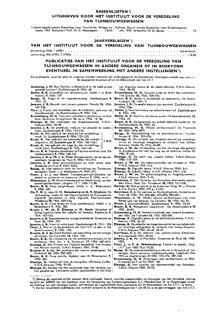#### **RASSENLIJSTEN<sup>1</sup> ) UITGEGEVEN DOOR HET INSTITUUT VOOR DE VEREDELING VAN TUINBOUWGEWASSEN**

Tweede Beschrijvende Rassenlijst voor Populieren, Wilgen en 1 Achtste Beschrijvende Rassenlijst voor Groentegewas-Iepen, 1947. Redacteur Prof. Dr G. Houtzagers . . f 0,50 j sen. 1955. Redacteur Dr O. Banga **75** 

#### **JAARVERSLAGEN l)**

# **VAN HET INSTITUUT VOOR DE VEREDELING VAN TUINBOUWGEWASSEN**

jaarverslag 1950. 1 (1951) Uitverkocht Jaarverslag 1951–1952. 2 (1954) factor of the contract of the contract of the contract of the contract of the contract of the contract of the contract of the contract of the contract of the contract of the contract of the

# **PUBLICATIES VAN HET INSTITUUT VOOR DE VEREDELING VAN TUINBOUWGEWASSEN IN ANDERE ORGANEN OF IN BOEKVORM EVENTUEEL IN SAMENWERKING MET ANDERE INSTELLINGEN')**

De publicaties, waarvan prijs èn uitgever worden vermeld zijn verkrijgbaar in de boekhandel. Overigens wende men zich ; >; de opgegeven bronnen of tot de Bibliotheek van het I.V.T.

i.

**Andeweg, J. M .** Kan Paprika in Nederland in de volle grond

geteeld worden? Zaadbelangen **8,** 1954: 68. **Boom, B. K.** Amstelflora en nomenclatuur. Vakbl. v. d. Bloe-misterij **9,** 1954: 127.

Banga, O. Regel in de rassenbenaming. Zaadbelangen 8, 1954: 75.

**Jensma, J. R.** Brocoli, een nieuwe groente. Floralia 74, 1954: 135-136.

**Floor, J.** Plastic, een materiaal voor de toekomst, ook voor de boomkwekerij. De Boomkwekerij 9, 1954: 123.

**Kronenberg, H. G.** Two-crop strawberry production in <del>I</del><br>Band. American Fruitgrower 74, no 4, 1954: 13, 36.<br>Elzenga, G. Het uitdrogen van Angelicawortels. V.N

Nieuws 1954: 48-49.

**jensma, J. R.** De proeftuin, trefpunt van practijk en onder- |<br>| zoek. Zaadbelangen 8, 1954: 113–114.

Kraai, A. Het gebruik van bijen bij het veredel<br>werk. (I) Zaadbelangen 8, 1954: 121-122.<br>**Kraai, A.** Het gebruik van hommels bij het ver<br>lingswerk. (II) Zaadbelangen 8, 1954: 132–13

f 0.25

Kraai, A. Het gebruik van bijen bij het veredel<br>werk (slot). Zaadbelangen 8, 1954: 144–146.

Boom**, B. K.** Populus canadensis of Populus euramericana<br>Boomkwekerij 9, 1954: 140-141.<br>Jensma, J. R. en M. v. d. Vliet. Perspectieven van de sp

koolteelt. Groenten en Fruit 9, 1954: 911-912.

Jensma, J. R. Over practijkproeven en over witte l<br>Groenten en Fruit 9, 1954: 1213.

**Banga, O.** Het instituut voor de Veredeling van Tuinbo<br>gewassen. Vakbl. v. d. Bloemisterij 9, 1954: 271.<br>**Floor, J. en J. van Soest.** Toepassingsmogelijkheden

plastic in tuinbouw en bosbouw. Plastica **7,** 1954, no 4. Wassenaar, L. M. Determinatietabel en beschrijving van eantal aardbeirassen. Uitgave I.V.T. 1954. f 1,50.

**Boom, B. K.** Ficus benghalensis. Vakbl. v. d. Bloemisterij

- **9,** 1954: 337. **Os, F. H . L. van, C. H . Galenkamp en A. R. Kliphuis.** De
- verhouding tussen de van Digitoxigenine en Gitoxigen<br>afgeleide §glycosiden in folia digitalis. Pharmaceuti<br>Weekblad 89, 1954: 429–433.

**Boom, B. K.** Ficus lyrata en Ficus cyathistipula. Vakbl.<br>Bloemisterij 9, 1954: 303.<br>Bruyn, J**. W. de, G. Elzenga** en M. Keuls. Selecti

ving angelica-roots for volatile oil content. Euphytica 3, 1954: 147-153.

**Jensma, J. R.** Rassenkeuze bij vroege bloemkool. Groenten en Fruit 10, 1954: 177.

**Jensma, J. R.** Rand in witte kool. Zaadbelangen 8, 1954: 196 **Floor, J.** Wat er op de proeftuin van het I.V.T. te zien is. De Boomkwekerij 9, 1954: 192.

Br**uyne, A. S. de.** Stark Earliest, een aanvulling van het v<br>sortiment. De Fruitteelt 44, 1954: 778.

Boom, B. K. De toepassing van de nomenclatuurregels i**n de totalists**<br>- tuinbouw. Med. Dir. v. d. Tuinbouw 17, 1954: 607<br>Elzenga, G. Het drogen van Digitalis lanatablad. Het dro

van Rheum sinensis. V.N.K.-Nieuws 1954: 79-81.<br>**Bruyne, A. S. de.** Het probleem der nieuwe appelrassen. D<br>Fruitteelt 44, 1954: 822–823.

**Boom, B. K.** Ficus pumila. Vakblad voor de Bloemiste<br>1954: 381.

**Elzenga, G.** Teeltproef met Archangelica officinalis Hoffm. V.N.K.-Nieuws 1954: 91-97. |

Elzenga, G. Verslag van het onderzoek naar het verloop van het gehalte aan werkzame stoffen (glycosiden) in het blad \

van Digitalis lanata en de blad productie. V.N.K.-Nieuw j 1954: 98-99.

**Kronenberg, H. G.** Autumn crop by short day treatm<br>| The Grower 42, 1954, 729–731.

, **Boom, B. K.** Berberis thunbergii en ottawensïs. De Boomkwekerij 10, 1954: 9.<br>**Jensma, J. R.** De smalle basis en zijn gevaren. Zaadbelang

1954: 226.

| **Petiet, J.** Overwintering van selectie.nateriaal. Zaadbelangen | 8, 1954: 238.

**Boom, B. K.** Populus canadensis aurea. De Boomkwekerij 10,

BS4: 25.<br>Boom, B. K. De benaming van enkele bekende coniferen<br>Boomkwekerij 10, 1954: 32.<br>Kronenberg, H. G. Welke aardbeirassen? De Fruitt<br>44, 1954, 1074-1077.<br>Banga, G. Ontwikkeling van de praktijkproeven. Zaa.<br>Ilangen 8,

wicht en vluchtige oliegehalte in verband met mi<br>Factoren. Herba 13, 1954, 69-80.<br>B**ruyn, J. W. de.** De bepaling van het vluchtige olie-ge

in Angelicawortel met het oog op de selectie. Herb<br>1954, 81–85.

Elzenga, G. De teelt van Lobelia inflata. V.N.K.-Nieuws<br>1954: 127-129.

1954: 127–129.<br> **Bruyn, J. W. de.** De exportcontrôle van kruiden in 1<br> **Bruyn, J. W. de.** De exportcontrôle van kruiden in 1<br> **Elzenga, G.** Digitalis lanata, V.N.K.-Nieuws 1955: 3–4.<br> **Elzenga, G.** Lobelia inflata. V.N.K.-

**Broertjes, C.** Het forceren van Forsythia intermedia spectabilis Khne. Med. Dir. Tuinbouw 18, 1955: 111-118.

<sup>|</sup> **Komen, G.** Wat groeit er in de moestuin? Uitg. W. J. Th<br>& Cie, Zutfen, 1955, 127 p., f 3,50.<br>| **Gerritsen, C. J.** De walnoot als fruitteeltgewas. Groente

Fruit 10, 1955: 747, 803-804, 875-876, 890-891. **Wassenaar, L. M .** Welke nieuwe aardbeirassen zijn voor

Nederland van belang? De Tuinderij 35, 1955, No 12.<br>**Petiet, J.** Isolatiemiddelen. Zaadbelangen 9, 1955: 53-54<br>**Boom, B. K. P**olygonum cuspidatum. De Boomkweker<br>1955: 84-85.

**Kronenberg, H. G.** Nachtvorstschade aan zwarte bessen<br>sen 1954. De Fruitteelt 45, 1955: 400-401.<br>**Elzenga, G.** Digitalis lanata en de bladvlekkenziekte. V.N.

Nieuws 1955: 26-27.

**Elzenga, G.** De selectie van Angelica-wortel op wortelgewicht en vluchtige oliege<br>en vluchtige oliegehalte in verband met milieu-factor<br>V.N.K.-Nieuws 1955: 34–39, 42–47.

Ge**rritsen, C. J.** De selectie van (okker)-noten. Dendr<br>gisch Jaarboek 1954: 40-43.

**jensma,** J. R. Mei in Mechelen. Groenten en Fruit 10, 1955: 1292.

**Floor, J.** en **P. A. Wezelenburg.** Planten in plastic.<br>L.V.T. Juni 1955, 10 p. f 0,25.<br>**Banga, O.** De plantenveredeling als factor in de strijd or

bestaan. Extra nummer Landbouwkundig Tijdschrift **I**<br>1955 en Zaadbelangen 9, 1955: 173–174, 187–188.<br>**Kronenberg, H. G.** Ervaringen met aardbeirassen in 19

Groenten en Fruit 11, 1955: 138.<br>**Elzenga, G.** Het kweken van plantmateriaal van Valeri<br>V.N.K.-Nieuws 1955: 70–72.

\*) Eerder verschenen publicaties zijn vermeld achterin in de Mededelingen nos 1 t/m 65 en in de jaarverslagen van

- -

J Zolang de voorraad strekt kunnen deze publicatie (franco worden toegezonden, na ontvangst van het vermelde (<br>op giro no. 425340 van het Instituut voor de Veredeling van Tuinbouwgewassen, S. L. Mansholtlaan 15 te Wagenin<br>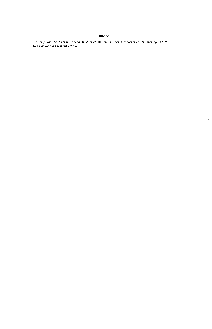# ERRATA

 $\sim$ 

 $\hat{\mathcal{A}}$ 

De prijs van de hiernaast vermelde Achtste Rassenlijst voor Groentegewassen bedraagt f In plaats van 1955 leze men 19

 $\sim$